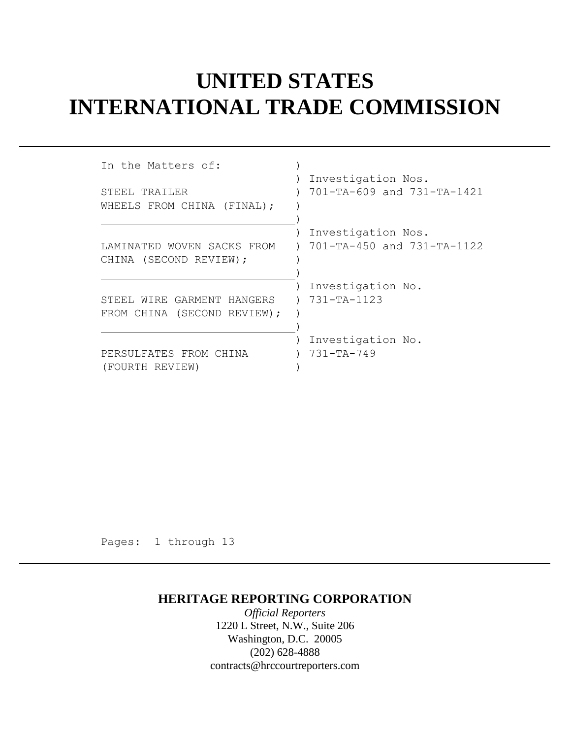## **UNITED STATES INTERNATIONAL TRADE COMMISSION**

| In the Matters of:          |                            |
|-----------------------------|----------------------------|
| STEEL TRAILER               | Investigation Nos.         |
| WHEELS FROM CHINA (FINAL);  | 701-TA-609 and 731-TA-1421 |
| LAMINATED WOVEN SACKS FROM  | Investigation Nos.         |
| CHINA (SECOND REVIEW);      | 701-TA-450 and 731-TA-1122 |
| STEEL WIRE GARMENT HANGERS  | Investigation No.          |
| FROM CHINA (SECOND REVIEW); | $731 - TA - 1123$          |
| PERSULFATES FROM CHINA      | Investigation No.          |
| (FOURTH REVIEW)             | 731-TA-749                 |

Pages: 1 through 13

### **HERITAGE REPORTING CORPORATION**

*Official Reporters* 1220 L Street, N.W., Suite 206 Washington, D.C. 20005 (202) 628-4888 contracts@hrccourtreporters.com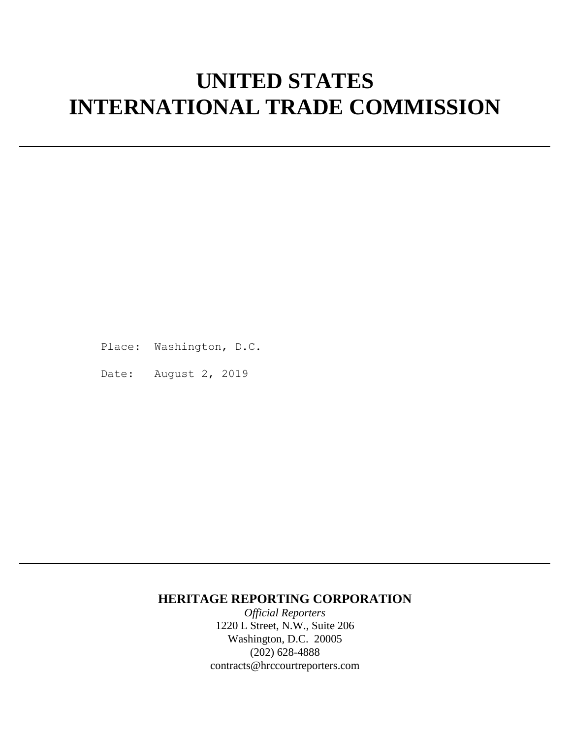# **UNITED STATES INTERNATIONAL TRADE COMMISSION**

Place: Washington, D.C.

Date: August 2, 2019

### **HERITAGE REPORTING CORPORATION**

*Official Reporters* 1220 L Street, N.W., Suite 206 Washington, D.C. 20005 (202) 628-4888 contracts@hrccourtreporters.com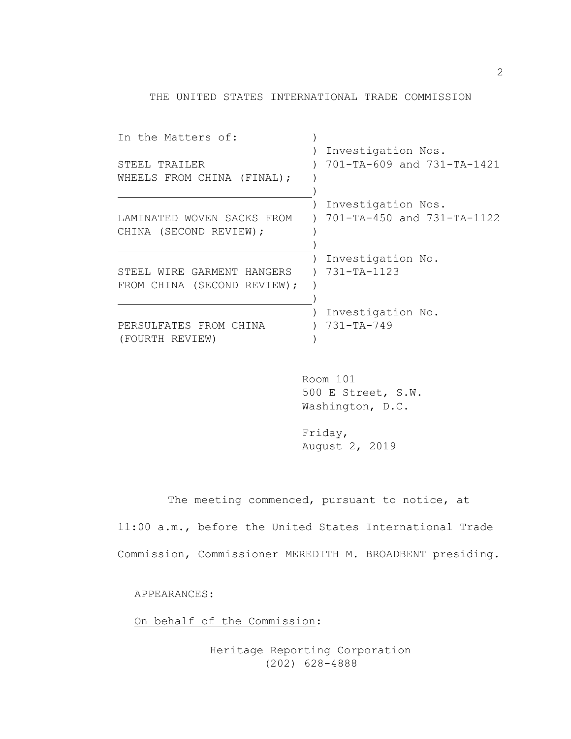THE UNITED STATES INTERNATIONAL TRADE COMMISSION

| In the Matters of:          |                            |
|-----------------------------|----------------------------|
|                             | Investigation Nos.         |
| STEEL TRAILER               | 701-TA-609 and 731-TA-1421 |
| WHEELS FROM CHINA (FINAL);  |                            |
|                             |                            |
|                             | Investigation Nos.         |
| LAMINATED WOVEN SACKS FROM  | 701-TA-450 and 731-TA-1122 |
| CHINA (SECOND REVIEW);      |                            |
|                             |                            |
|                             | Investigation No.          |
| STEEL WIRE GARMENT HANGERS  | $731 - TA - 1123$          |
| FROM CHINA (SECOND REVIEW); |                            |
|                             |                            |
|                             | Investigation No.          |
|                             |                            |
| PERSULFATES FROM CHINA      | $731 - TA - 749$           |
| (FOURTH REVIEW)             |                            |

Room 101 500 E Street, S.W. Washington, D.C.

Friday, August 2, 2019

The meeting commenced, pursuant to notice, at

11:00 a.m., before the United States International Trade Commission, Commissioner MEREDITH M. BROADBENT presiding.

APPEARANCES:

On behalf of the Commission: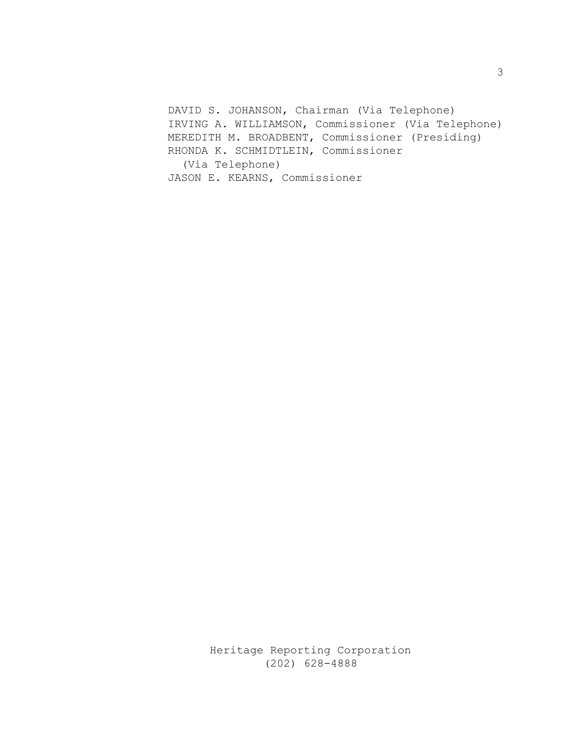DAVID S. JOHANSON, Chairman (Via Telephone) IRVING A. WILLIAMSON, Commissioner (Via Telephone) MEREDITH M. BROADBENT, Commissioner (Presiding) RHONDA K. SCHMIDTLEIN, Commissioner (Via Telephone) JASON E. KEARNS, Commissioner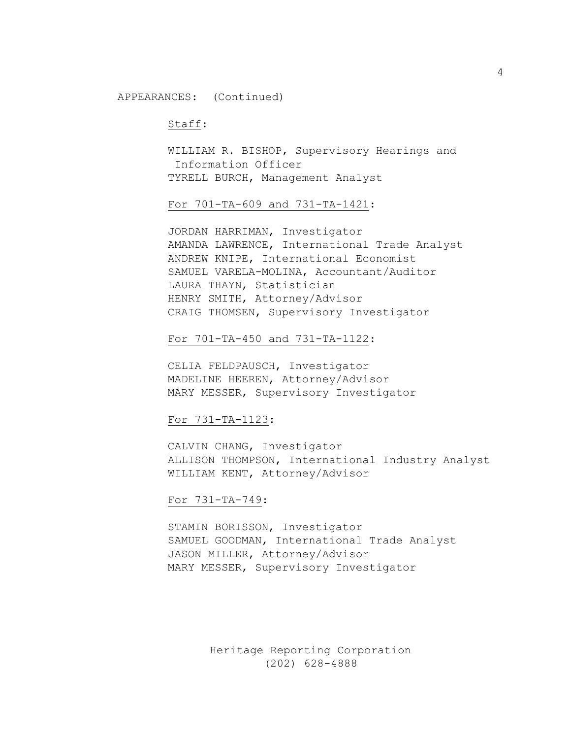#### Staff:

WILLIAM R. BISHOP, Supervisory Hearings and Information Officer TYRELL BURCH, Management Analyst

For 701-TA-609 and 731-TA-1421:

JORDAN HARRIMAN, Investigator AMANDA LAWRENCE, International Trade Analyst ANDREW KNIPE, International Economist SAMUEL VARELA-MOLINA, Accountant/Auditor LAURA THAYN, Statistician HENRY SMITH, Attorney/Advisor CRAIG THOMSEN, Supervisory Investigator

For 701-TA-450 and 731-TA-1122:

CELIA FELDPAUSCH, Investigator MADELINE HEEREN, Attorney/Advisor MARY MESSER, Supervisory Investigator

For 731-TA-1123:

CALVIN CHANG, Investigator ALLISON THOMPSON, International Industry Analyst WILLIAM KENT, Attorney/Advisor

#### For 731-TA-749:

STAMIN BORISSON, Investigator SAMUEL GOODMAN, International Trade Analyst JASON MILLER, Attorney/Advisor MARY MESSER, Supervisory Investigator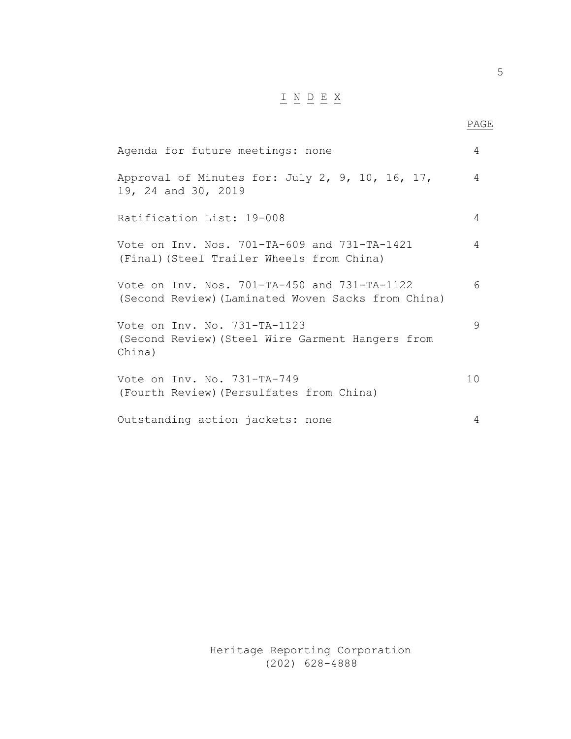## $\underline{\texttt{I}} \underline{\texttt{N}} \underline{\texttt{D}} \underline{\texttt{E}} \underline{\texttt{X}}$

**PAGE** 

| Agenda for future meetings: none                                                                   | 4               |
|----------------------------------------------------------------------------------------------------|-----------------|
| Approval of Minutes for: July 2, 9, 10, 16, 17,<br>19, 24 and 30, 2019                             | 4               |
| Ratification List: 19-008                                                                          | 4               |
| Vote on Inv. Nos. 701-TA-609 and 731-TA-1421<br>(Final) (Steel Trailer Wheels from China)          | 4               |
| Vote on Inv. Nos. 701-TA-450 and 731-TA-1122<br>(Second Review) (Laminated Woven Sacks from China) | 6               |
| Vote on Inv. No. 731-TA-1123<br>(Second Review) (Steel Wire Garment Hangers from<br>China)         | 9               |
| Vote on Inv. No. 731-TA-749<br>(Fourth Review) (Persulfates from China)                            | 10 <sub>o</sub> |
| Outstanding action jackets: none                                                                   | 4               |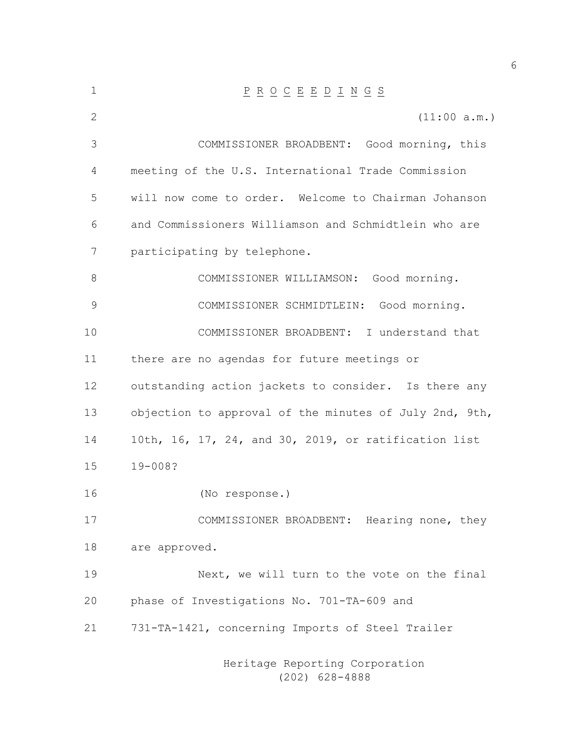| $\mathbf 1$ | $\underline{P} \underline{R} \underline{O} \underline{C} \underline{E} \underline{E} \underline{D} \underline{I} \underline{N} \underline{G} \underline{S}$ |  |  |  |
|-------------|-------------------------------------------------------------------------------------------------------------------------------------------------------------|--|--|--|
| 2           | (11:00 a.m.)                                                                                                                                                |  |  |  |
| 3           | COMMISSIONER BROADBENT: Good morning, this                                                                                                                  |  |  |  |
| 4           | meeting of the U.S. International Trade Commission                                                                                                          |  |  |  |
| 5           | will now come to order. Welcome to Chairman Johanson                                                                                                        |  |  |  |
| 6           | and Commissioners Williamson and Schmidtlein who are                                                                                                        |  |  |  |
| 7           | participating by telephone.                                                                                                                                 |  |  |  |
| 8           | COMMISSIONER WILLIAMSON: Good morning.                                                                                                                      |  |  |  |
| 9           | COMMISSIONER SCHMIDTLEIN: Good morning.                                                                                                                     |  |  |  |
| 10          | COMMISSIONER BROADBENT: I understand that                                                                                                                   |  |  |  |
| 11          | there are no agendas for future meetings or                                                                                                                 |  |  |  |
| 12          | outstanding action jackets to consider. Is there any                                                                                                        |  |  |  |
| 13          | objection to approval of the minutes of July 2nd, 9th,                                                                                                      |  |  |  |
| 14          | 10th, 16, 17, 24, and 30, 2019, or ratification list                                                                                                        |  |  |  |
| 15          | $19 - 008?$                                                                                                                                                 |  |  |  |
| 16          | (No response.)                                                                                                                                              |  |  |  |
| 17          | COMMISSIONER BROADBENT: Hearing none, they                                                                                                                  |  |  |  |
| 18          | are approved.                                                                                                                                               |  |  |  |
| 19          | Next, we will turn to the vote on the final                                                                                                                 |  |  |  |
| 20          | phase of Investigations No. 701-TA-609 and                                                                                                                  |  |  |  |
| 21          | 731-TA-1421, concerning Imports of Steel Trailer                                                                                                            |  |  |  |
|             |                                                                                                                                                             |  |  |  |

Heritage Reporting Corporation (202) 628-4888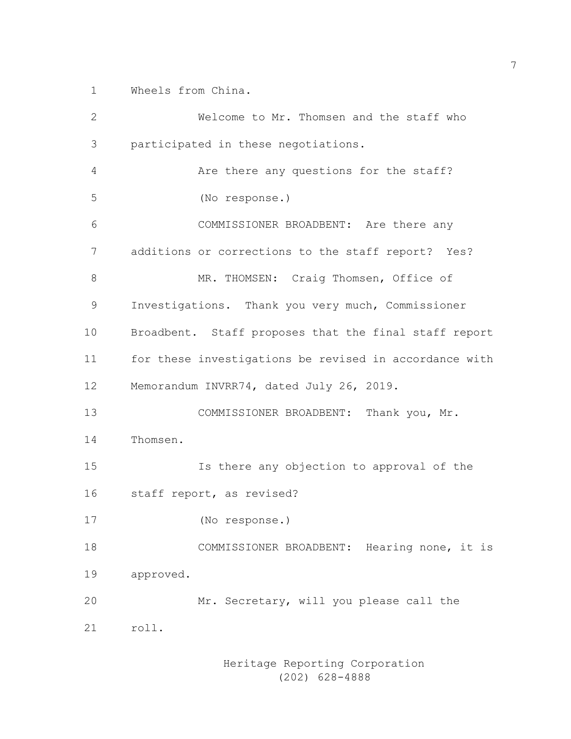Wheels from China.

 Welcome to Mr. Thomsen and the staff who participated in these negotiations. Are there any questions for the staff? (No response.) COMMISSIONER BROADBENT: Are there any additions or corrections to the staff report? Yes? MR. THOMSEN: Craig Thomsen, Office of Investigations. Thank you very much, Commissioner Broadbent. Staff proposes that the final staff report for these investigations be revised in accordance with Memorandum INVRR74, dated July 26, 2019. COMMISSIONER BROADBENT: Thank you, Mr. Thomsen. Is there any objection to approval of the staff report, as revised? (No response.) COMMISSIONER BROADBENT: Hearing none, it is approved. Mr. Secretary, will you please call the roll.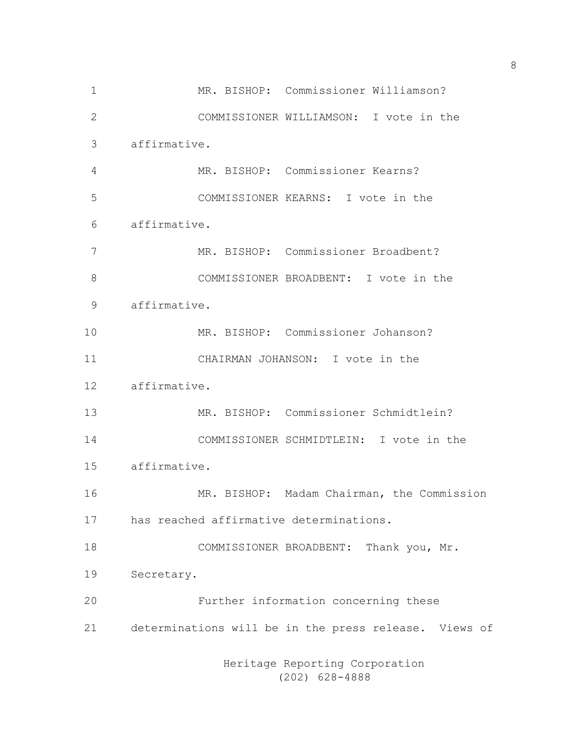MR. BISHOP: Commissioner Williamson? COMMISSIONER WILLIAMSON: I vote in the affirmative. MR. BISHOP: Commissioner Kearns? COMMISSIONER KEARNS: I vote in the affirmative. MR. BISHOP: Commissioner Broadbent? COMMISSIONER BROADBENT: I vote in the affirmative. MR. BISHOP: Commissioner Johanson? CHAIRMAN JOHANSON: I vote in the affirmative. MR. BISHOP: Commissioner Schmidtlein? COMMISSIONER SCHMIDTLEIN: I vote in the affirmative. MR. BISHOP: Madam Chairman, the Commission has reached affirmative determinations. COMMISSIONER BROADBENT: Thank you, Mr. Secretary. Further information concerning these determinations will be in the press release. Views of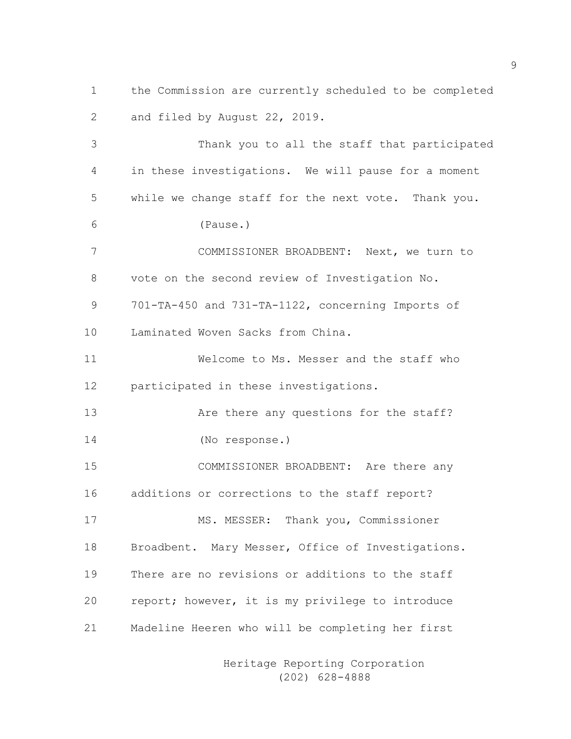the Commission are currently scheduled to be completed and filed by August 22, 2019.

 Thank you to all the staff that participated in these investigations. We will pause for a moment while we change staff for the next vote. Thank you. (Pause.) COMMISSIONER BROADBENT: Next, we turn to vote on the second review of Investigation No. 701-TA-450 and 731-TA-1122, concerning Imports of Laminated Woven Sacks from China. Welcome to Ms. Messer and the staff who participated in these investigations. 13 Are there any questions for the staff? (No response.) COMMISSIONER BROADBENT: Are there any additions or corrections to the staff report? MS. MESSER: Thank you, Commissioner Broadbent. Mary Messer, Office of Investigations. There are no revisions or additions to the staff report; however, it is my privilege to introduce Madeline Heeren who will be completing her first

> Heritage Reporting Corporation (202) 628-4888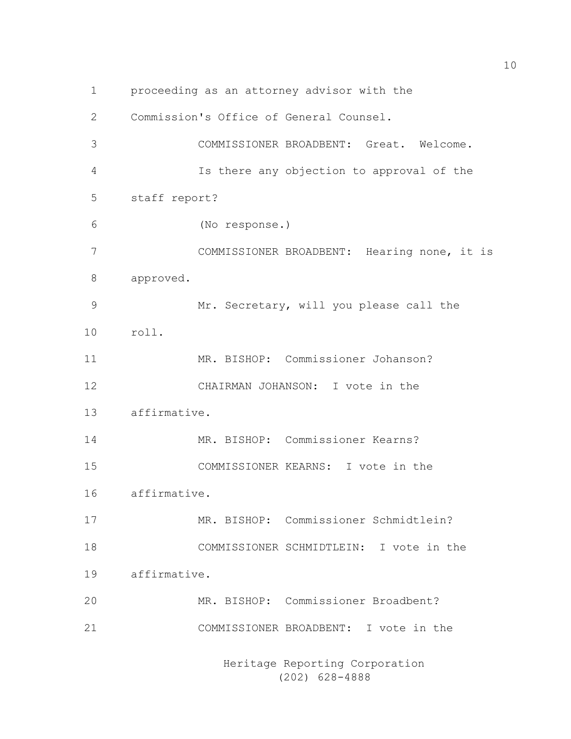proceeding as an attorney advisor with the Commission's Office of General Counsel. COMMISSIONER BROADBENT: Great. Welcome. Is there any objection to approval of the staff report? (No response.) COMMISSIONER BROADBENT: Hearing none, it is approved. Mr. Secretary, will you please call the roll. MR. BISHOP: Commissioner Johanson? CHAIRMAN JOHANSON: I vote in the affirmative. MR. BISHOP: Commissioner Kearns? COMMISSIONER KEARNS: I vote in the affirmative. MR. BISHOP: Commissioner Schmidtlein? COMMISSIONER SCHMIDTLEIN: I vote in the affirmative. MR. BISHOP: Commissioner Broadbent? COMMISSIONER BROADBENT: I vote in the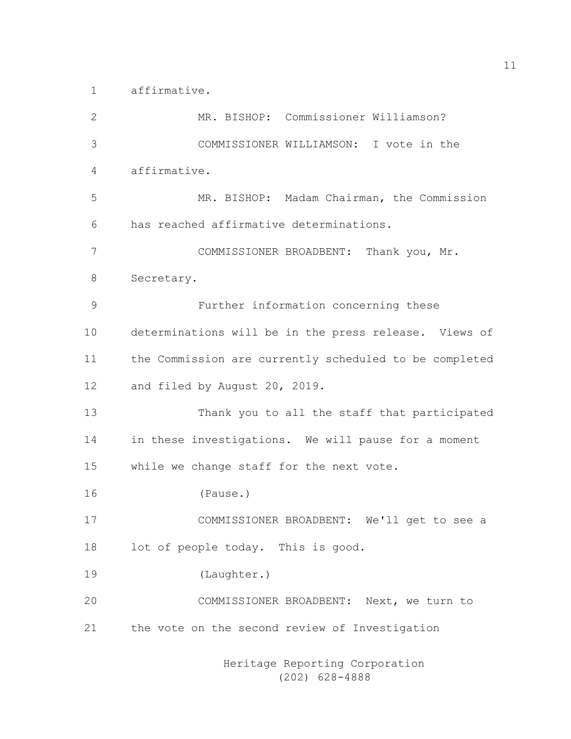affirmative.

| 2  | MR. BISHOP: Commissioner Williamson?                   |
|----|--------------------------------------------------------|
| 3  | COMMISSIONER WILLIAMSON: I vote in the                 |
| 4  | affirmative.                                           |
| 5  | MR. BISHOP: Madam Chairman, the Commission             |
| 6  | has reached affirmative determinations.                |
| 7  | COMMISSIONER BROADBENT: Thank you, Mr.                 |
| 8  | Secretary.                                             |
| 9  | Further information concerning these                   |
| 10 | determinations will be in the press release. Views of  |
| 11 | the Commission are currently scheduled to be completed |
| 12 | and filed by August 20, 2019.                          |
| 13 | Thank you to all the staff that participated           |
| 14 | in these investigations. We will pause for a moment    |
| 15 | while we change staff for the next vote.               |
| 16 | (Pause.)                                               |
| 17 | COMMISSIONER BROADBENT: We'll get to see a             |
| 18 | lot of people today. This is good.                     |
| 19 | (Laughter.)                                            |
| 20 | COMMISSIONER BROADBENT: Next, we turn to               |
| 21 | the vote on the second review of Investigation         |
|    |                                                        |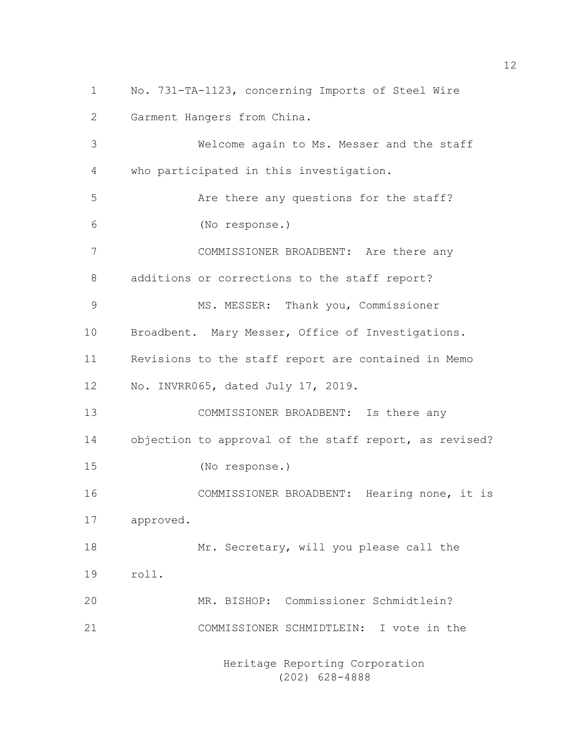No. 731-TA-1123, concerning Imports of Steel Wire Garment Hangers from China. Welcome again to Ms. Messer and the staff who participated in this investigation. Are there any questions for the staff? (No response.) COMMISSIONER BROADBENT: Are there any additions or corrections to the staff report? MS. MESSER: Thank you, Commissioner Broadbent. Mary Messer, Office of Investigations. Revisions to the staff report are contained in Memo No. INVRR065, dated July 17, 2019. COMMISSIONER BROADBENT: Is there any objection to approval of the staff report, as revised? (No response.) COMMISSIONER BROADBENT: Hearing none, it is approved. 18 Mr. Secretary, will you please call the roll. MR. BISHOP: Commissioner Schmidtlein? COMMISSIONER SCHMIDTLEIN: I vote in the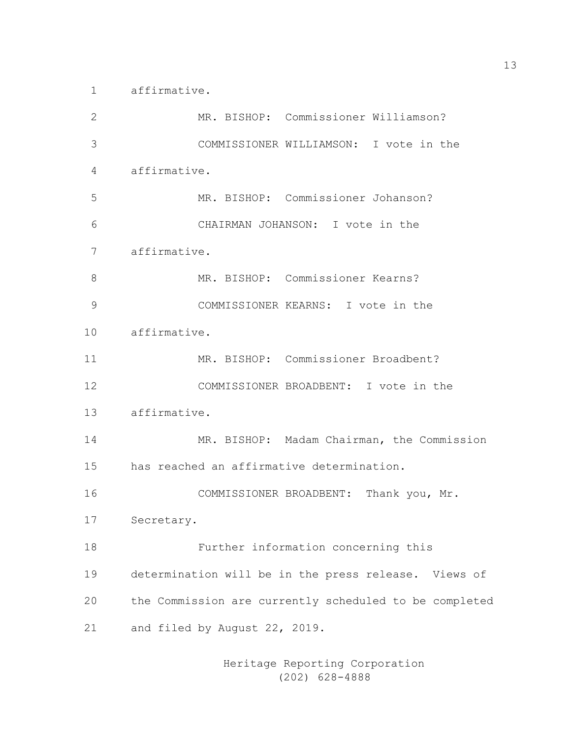affirmative.

| $\mathbf{2}$ |                               |  |  | MR. BISHOP: Commissioner Williamson?      |                                                        |
|--------------|-------------------------------|--|--|-------------------------------------------|--------------------------------------------------------|
| 3            |                               |  |  |                                           | COMMISSIONER WILLIAMSON: I vote in the                 |
| 4            | affirmative.                  |  |  |                                           |                                                        |
| 5            |                               |  |  | MR. BISHOP: Commissioner Johanson?        |                                                        |
| 6            |                               |  |  | CHAIRMAN JOHANSON: I vote in the          |                                                        |
| 7            | affirmative.                  |  |  |                                           |                                                        |
| 8            |                               |  |  | MR. BISHOP: Commissioner Kearns?          |                                                        |
| 9            |                               |  |  | COMMISSIONER KEARNS: I vote in the        |                                                        |
| 10           | affirmative.                  |  |  |                                           |                                                        |
| 11           |                               |  |  | MR. BISHOP: Commissioner Broadbent?       |                                                        |
| 12           |                               |  |  | COMMISSIONER BROADBENT: I vote in the     |                                                        |
| 13           | affirmative.                  |  |  |                                           |                                                        |
| 14           |                               |  |  |                                           | MR. BISHOP: Madam Chairman, the Commission             |
| 15           |                               |  |  | has reached an affirmative determination. |                                                        |
| 16           |                               |  |  |                                           | COMMISSIONER BROADBENT: Thank you, Mr.                 |
| 17           | Secretary.                    |  |  |                                           |                                                        |
| 18           |                               |  |  | Further information concerning this       |                                                        |
| 19           |                               |  |  |                                           | determination will be in the press release. Views of   |
| 20           |                               |  |  |                                           | the Commission are currently scheduled to be completed |
| 21           | and filed by August 22, 2019. |  |  |                                           |                                                        |
|              |                               |  |  |                                           |                                                        |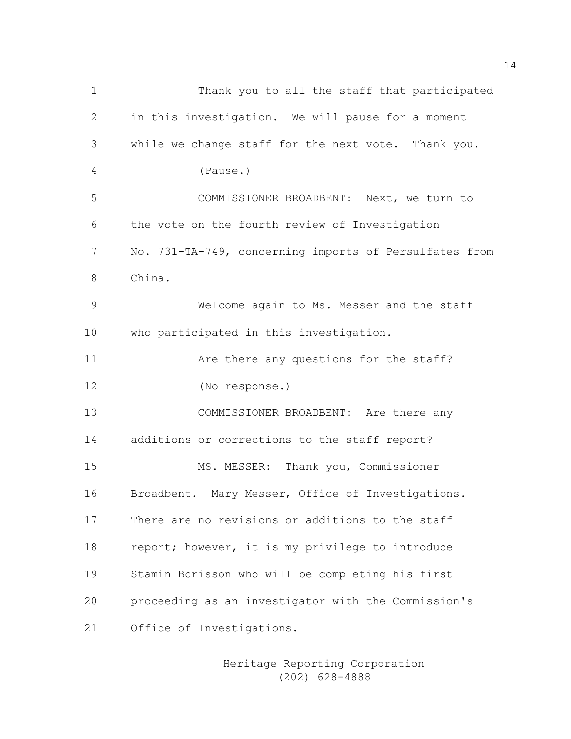Thank you to all the staff that participated in this investigation. We will pause for a moment while we change staff for the next vote. Thank you. (Pause.) COMMISSIONER BROADBENT: Next, we turn to the vote on the fourth review of Investigation No. 731-TA-749, concerning imports of Persulfates from China. Welcome again to Ms. Messer and the staff who participated in this investigation. **Are there any questions for the staff?**  (No response.) COMMISSIONER BROADBENT: Are there any additions or corrections to the staff report? MS. MESSER: Thank you, Commissioner Broadbent. Mary Messer, Office of Investigations. There are no revisions or additions to the staff 18 report; however, it is my privilege to introduce Stamin Borisson who will be completing his first proceeding as an investigator with the Commission's Office of Investigations.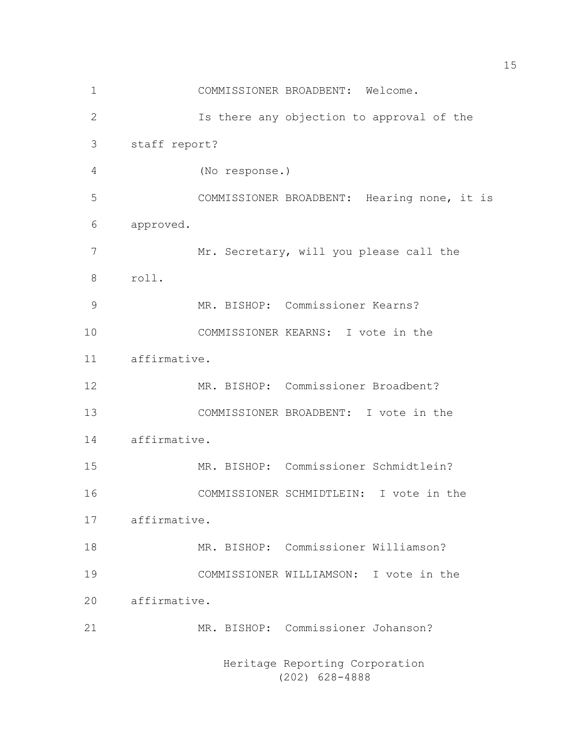Heritage Reporting Corporation COMMISSIONER BROADBENT: Welcome. Is there any objection to approval of the staff report? (No response.) COMMISSIONER BROADBENT: Hearing none, it is approved. 7 Mr. Secretary, will you please call the roll. MR. BISHOP: Commissioner Kearns? COMMISSIONER KEARNS: I vote in the affirmative. MR. BISHOP: Commissioner Broadbent? COMMISSIONER BROADBENT: I vote in the affirmative. MR. BISHOP: Commissioner Schmidtlein? COMMISSIONER SCHMIDTLEIN: I vote in the affirmative. MR. BISHOP: Commissioner Williamson? COMMISSIONER WILLIAMSON: I vote in the affirmative. MR. BISHOP: Commissioner Johanson?

(202) 628-4888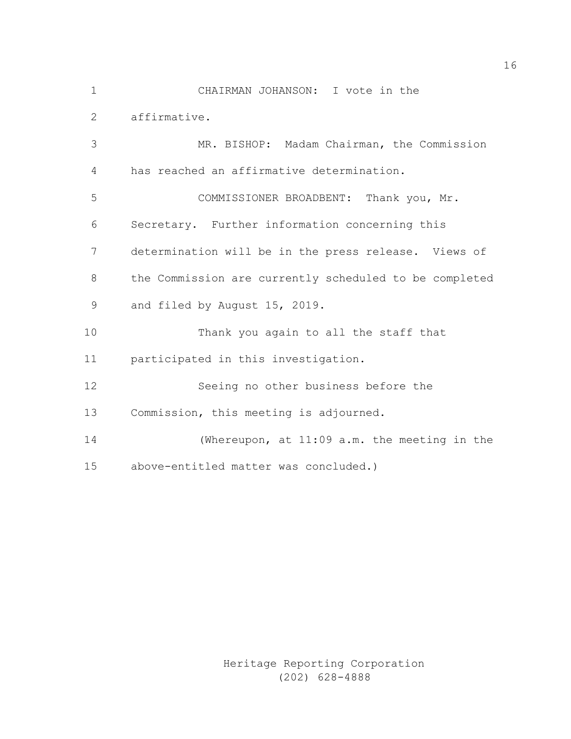CHAIRMAN JOHANSON: I vote in the affirmative. MR. BISHOP: Madam Chairman, the Commission has reached an affirmative determination. COMMISSIONER BROADBENT: Thank you, Mr. Secretary. Further information concerning this determination will be in the press release. Views of the Commission are currently scheduled to be completed and filed by August 15, 2019. Thank you again to all the staff that participated in this investigation. Seeing no other business before the Commission, this meeting is adjourned. (Whereupon, at 11:09 a.m. the meeting in the

above-entitled matter was concluded.)

Heritage Reporting Corporation (202) 628-4888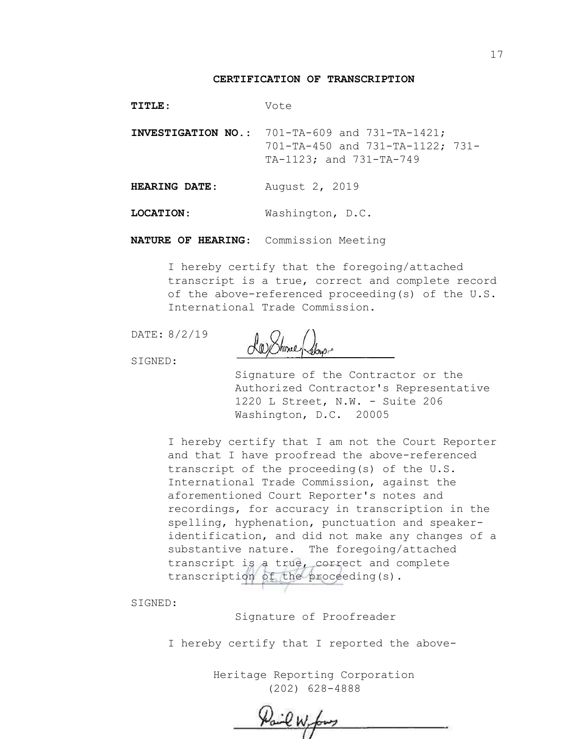#### **CERTIFICATION OF TRANSCRIPTION**

| <b>TITLE:</b> | Vote |
|---------------|------|
|---------------|------|

**INVESTIGATION NO.**: 701-TA-609 and 731-TA-1421; 701-TA-450 and 731-TA-1122; 731- TA-1123; and 731-TA-749

**HEARING DATE**: August 2, 2019

**LOCATION**: Washington, D.C.

**NATURE OF HEARING**: Commission Meeting

I hereby certify that the foregoing/attached transcript is a true, correct and complete record of the above-referenced proceeding(s) of the U.S. International Trade Commission.

DATE: 8/2/19

SIGNED:

Signature of the Contractor or the Authorized Contractor's Representative 1220 L Street, N.W. - Suite 206 Washington, D.C. 20005

I hereby certify that I am not the Court Reporter and that I have proofread the above-referenced transcript of the proceeding(s) of the U.S. International Trade Commission, against the aforementioned Court Reporter's notes and recordings, for accuracy in transcription in the spelling, hyphenation, punctuation and speakeridentification, and did not make any changes of a substantive nature. The foregoing/attached transcript is a true, correct and complete transcription of the proceeding(s).

SIGNED:

Signature of Proofreader

I hereby certify that I reported the above-

Pail W. fors